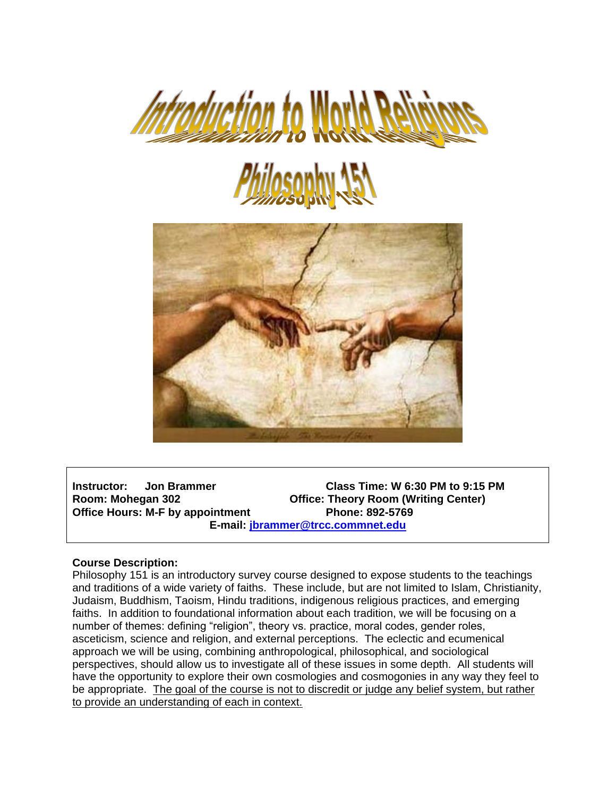

# *hilosophy*



**Instructor: Jon Brammer Class Time: W 6:30 PM to 9:15 PM Room: Mohegan 302 Office: Theory Room (Writing Center)** Office Hours: M-F by appointment Phone: 892-5769 **E-mail: [jbrammer@trcc.commnet.edu](mailto:jbrammer@trcc.commnet.edu)**

# **Course Description:**

Philosophy 151 is an introductory survey course designed to expose students to the teachings and traditions of a wide variety of faiths. These include, but are not limited to Islam, Christianity, Judaism, Buddhism, Taoism, Hindu traditions, indigenous religious practices, and emerging faiths. In addition to foundational information about each tradition, we will be focusing on a number of themes: defining "religion", theory vs. practice, moral codes, gender roles, asceticism, science and religion, and external perceptions. The eclectic and ecumenical approach we will be using, combining anthropological, philosophical, and sociological perspectives, should allow us to investigate all of these issues in some depth. All students will have the opportunity to explore their own cosmologies and cosmogonies in any way they feel to be appropriate. The goal of the course is not to discredit or judge any belief system, but rather to provide an understanding of each in context.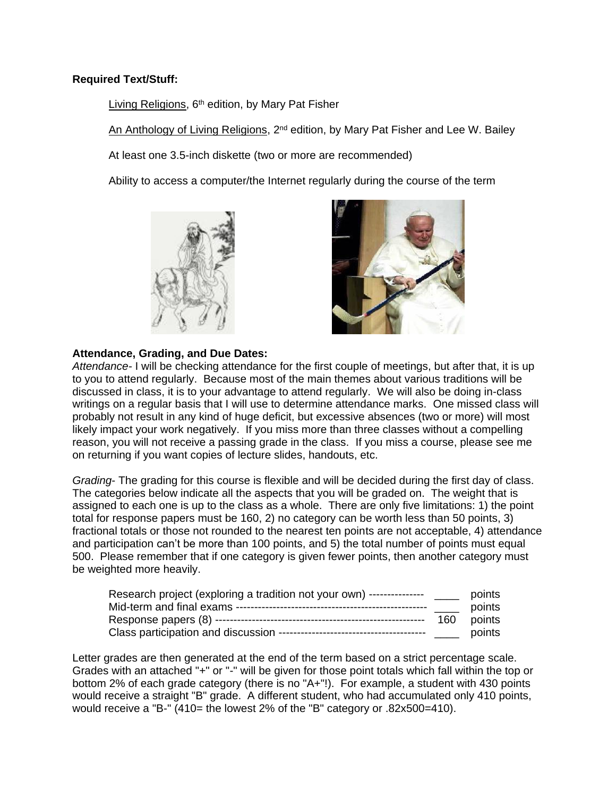## **Required Text/Stuff:**

Living Religions, 6<sup>th</sup> edition, by Mary Pat Fisher

An Anthology of Living Religions, 2<sup>nd</sup> edition, by Mary Pat Fisher and Lee W. Bailey

At least one 3.5-inch diskette (two or more are recommended)

Ability to access a computer/the Internet regularly during the course of the term





## **Attendance, Grading, and Due Dates:**

*Attendance-* I will be checking attendance for the first couple of meetings, but after that, it is up to you to attend regularly. Because most of the main themes about various traditions will be discussed in class, it is to your advantage to attend regularly. We will also be doing in-class writings on a regular basis that I will use to determine attendance marks. One missed class will probably not result in any kind of huge deficit, but excessive absences (two or more) will most likely impact your work negatively. If you miss more than three classes without a compelling reason, you will not receive a passing grade in the class. If you miss a course, please see me on returning if you want copies of lecture slides, handouts, etc.

*Grading*- The grading for this course is flexible and will be decided during the first day of class. The categories below indicate all the aspects that you will be graded on. The weight that is assigned to each one is up to the class as a whole. There are only five limitations: 1) the point total for response papers must be 160, 2) no category can be worth less than 50 points, 3) fractional totals or those not rounded to the nearest ten points are not acceptable, 4) attendance and participation can't be more than 100 points, and 5) the total number of points must equal 500. Please remember that if one category is given fewer points, then another category must be weighted more heavily.

| Research project (exploring a tradition not your own) -------------- |     | points |
|----------------------------------------------------------------------|-----|--------|
|                                                                      |     | points |
|                                                                      | 160 | points |
|                                                                      |     | points |

Letter grades are then generated at the end of the term based on a strict percentage scale. Grades with an attached "+" or "-" will be given for those point totals which fall within the top or bottom 2% of each grade category (there is no "A+"!). For example, a student with 430 points would receive a straight "B" grade. A different student, who had accumulated only 410 points, would receive a "B-" (410= the lowest 2% of the "B" category or .82x500=410).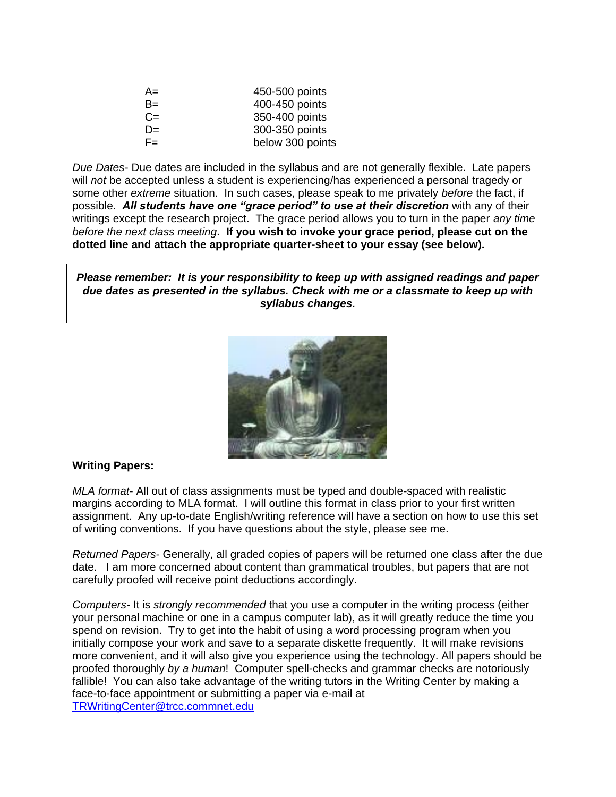| A=    | 450-500 points   |
|-------|------------------|
| $B=$  | 400-450 points   |
| $C =$ | 350-400 points   |
| $D=$  | 300-350 points   |
| $F =$ | below 300 points |
|       |                  |

*Due Dates*- Due dates are included in the syllabus and are not generally flexible. Late papers will *not* be accepted unless a student is experiencing/has experienced a personal tragedy or some other *extreme* situation. In such cases, please speak to me privately *before* the fact, if possible. *All students have one "grace period" to use at their discretion* with any of their writings except the research project. The grace period allows you to turn in the paper *any time before the next class meeting***. If you wish to invoke your grace period, please cut on the dotted line and attach the appropriate quarter-sheet to your essay (see below).**

*Please remember: It is your responsibility to keep up with assigned readings and paper due dates as presented in the syllabus. Check with me or a classmate to keep up with syllabus changes.*



#### **Writing Papers:**

*MLA format*- All out of class assignments must be typed and double-spaced with realistic margins according to MLA format. I will outline this format in class prior to your first written assignment. Any up-to-date English/writing reference will have a section on how to use this set of writing conventions. If you have questions about the style, please see me.

*Returned Papers*- Generally, all graded copies of papers will be returned one class after the due date. I am more concerned about content than grammatical troubles, but papers that are not carefully proofed will receive point deductions accordingly.

*Computers-* It is *strongly recommended* that you use a computer in the writing process (either your personal machine or one in a campus computer lab), as it will greatly reduce the time you spend on revision. Try to get into the habit of using a word processing program when you initially compose your work and save to a separate diskette frequently. It will make revisions more convenient, and it will also give you experience using the technology. All papers should be proofed thoroughly *by a human*! Computer spell-checks and grammar checks are notoriously fallible! You can also take advantage of the writing tutors in the Writing Center by making a face-to-face appointment or submitting a paper via e-mail at [TRWritingCenter@trcc.commnet.edu](mailto:TRWritingCenter@trcc.commnet.edu)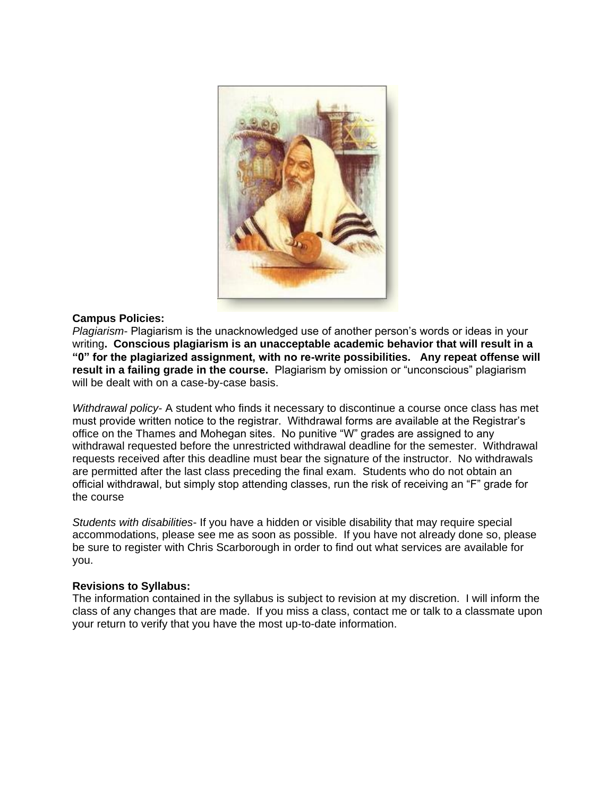

# **Campus Policies:**

*Plagiarism*- Plagiarism is the unacknowledged use of another person's words or ideas in your writing**. Conscious plagiarism is an unacceptable academic behavior that will result in a "0" for the plagiarized assignment, with no re-write possibilities. Any repeat offense will result in a failing grade in the course.** Plagiarism by omission or "unconscious" plagiarism will be dealt with on a case-by-case basis.

*Withdrawal policy*- A student who finds it necessary to discontinue a course once class has met must provide written notice to the registrar. Withdrawal forms are available at the Registrar's office on the Thames and Mohegan sites. No punitive "W" grades are assigned to any withdrawal requested before the unrestricted withdrawal deadline for the semester. Withdrawal requests received after this deadline must bear the signature of the instructor. No withdrawals are permitted after the last class preceding the final exam. Students who do not obtain an official withdrawal, but simply stop attending classes, run the risk of receiving an "F" grade for the course

*Students with disabilities*- If you have a hidden or visible disability that may require special accommodations, please see me as soon as possible. If you have not already done so, please be sure to register with Chris Scarborough in order to find out what services are available for you.

#### **Revisions to Syllabus:**

The information contained in the syllabus is subject to revision at my discretion. I will inform the class of any changes that are made. If you miss a class, contact me or talk to a classmate upon your return to verify that you have the most up-to-date information.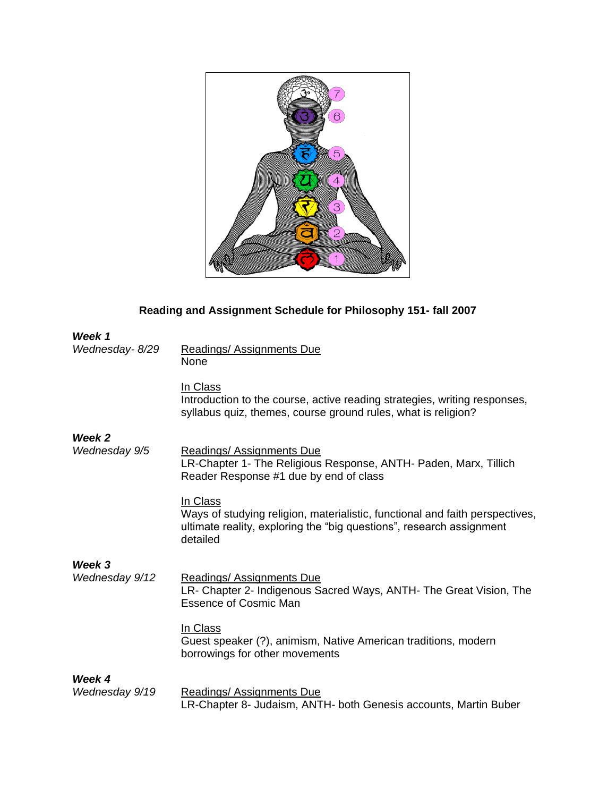

# **Reading and Assignment Schedule for Philosophy 151- fall 2007**

| Week 1                   |                                                                                                                                                                              |
|--------------------------|------------------------------------------------------------------------------------------------------------------------------------------------------------------------------|
| Wednesday-8/29           | <b>Readings/Assignments Due</b><br>None                                                                                                                                      |
|                          | In Class<br>Introduction to the course, active reading strategies, writing responses,<br>syllabus quiz, themes, course ground rules, what is religion?                       |
| Week 2<br>Wednesday 9/5  | <b>Readings/Assignments Due</b>                                                                                                                                              |
|                          | LR-Chapter 1- The Religious Response, ANTH- Paden, Marx, Tillich<br>Reader Response #1 due by end of class                                                                   |
|                          | In Class<br>Ways of studying religion, materialistic, functional and faith perspectives,<br>ultimate reality, exploring the "big questions", research assignment<br>detailed |
| Week 3                   |                                                                                                                                                                              |
| Wednesday 9/12           | <b>Readings/Assignments Due</b><br>LR- Chapter 2- Indigenous Sacred Ways, ANTH- The Great Vision, The<br>Essence of Cosmic Man                                               |
|                          | In Class<br>Guest speaker (?), animism, Native American traditions, modern<br>borrowings for other movements                                                                 |
| Week 4<br>Wednesday 9/19 | Readings/Assignments Due<br>LR-Chapter 8- Judaism, ANTH- both Genesis accounts, Martin Buber                                                                                 |
|                          |                                                                                                                                                                              |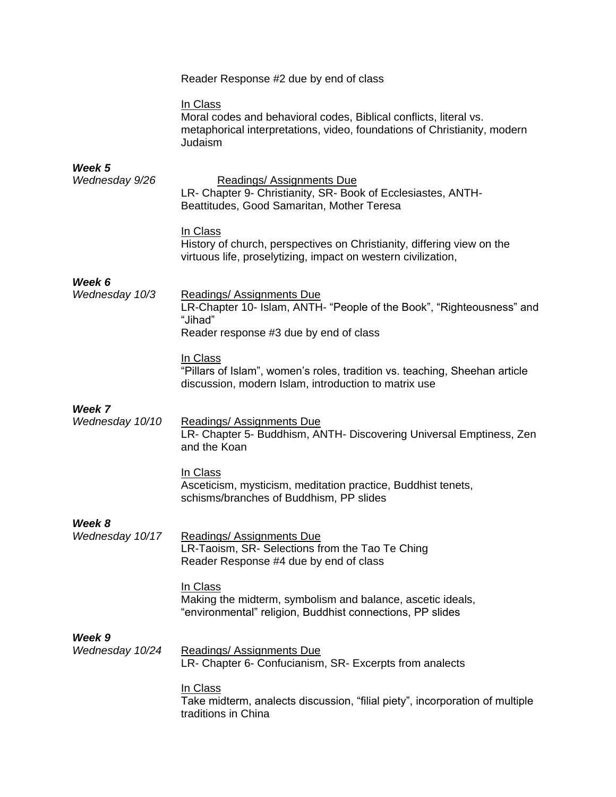|                           | Reader Response #2 due by end of class                                                                                                                               |
|---------------------------|----------------------------------------------------------------------------------------------------------------------------------------------------------------------|
|                           | In Class<br>Moral codes and behavioral codes, Biblical conflicts, literal vs.<br>metaphorical interpretations, video, foundations of Christianity, modern<br>Judaism |
| Week 5<br>Wednesday 9/26  | <b>Readings/Assignments Due</b><br>LR- Chapter 9- Christianity, SR- Book of Ecclesiastes, ANTH-<br>Beattitudes, Good Samaritan, Mother Teresa                        |
|                           | In Class<br>History of church, perspectives on Christianity, differing view on the<br>virtuous life, proselytizing, impact on western civilization,                  |
| Week 6<br>Wednesday 10/3  | <b>Readings/Assignments Due</b><br>LR-Chapter 10- Islam, ANTH- "People of the Book", "Righteousness" and<br>"Jihad"<br>Reader response #3 due by end of class        |
|                           | In Class<br>"Pillars of Islam", women's roles, tradition vs. teaching, Sheehan article<br>discussion, modern Islam, introduction to matrix use                       |
| Week 7<br>Wednesday 10/10 | <b>Readings/Assignments Due</b><br>LR- Chapter 5- Buddhism, ANTH- Discovering Universal Emptiness, Zen<br>and the Koan                                               |
|                           | In Class<br>Asceticism, mysticism, meditation practice, Buddhist tenets,<br>schisms/branches of Buddhism, PP slides                                                  |
| Week 8<br>Wednesday 10/17 | <b>Readings/Assignments Due</b><br>LR-Taoism, SR- Selections from the Tao Te Ching<br>Reader Response #4 due by end of class                                         |
|                           | In Class<br>Making the midterm, symbolism and balance, ascetic ideals,<br>"environmental" religion, Buddhist connections, PP slides                                  |
| Week 9<br>Wednesday 10/24 | <b>Readings/Assignments Due</b><br>LR- Chapter 6- Confucianism, SR- Excerpts from analects                                                                           |
|                           | In Class<br>Take midterm, analects discussion, "filial piety", incorporation of multiple<br>traditions in China                                                      |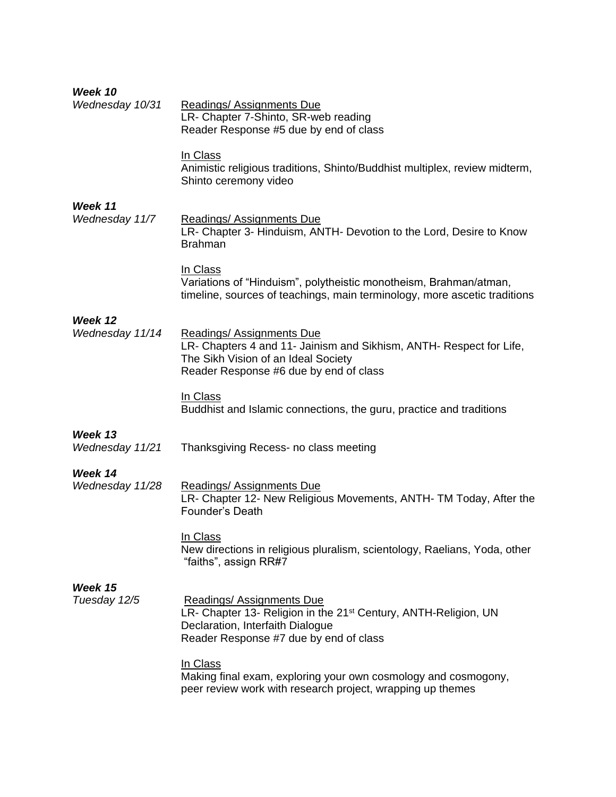| Week 10                    |                                                                                                                                                                                              |
|----------------------------|----------------------------------------------------------------------------------------------------------------------------------------------------------------------------------------------|
| Wednesday 10/31            | <b>Readings/Assignments Due</b><br>LR- Chapter 7-Shinto, SR-web reading<br>Reader Response #5 due by end of class                                                                            |
|                            | In Class<br>Animistic religious traditions, Shinto/Buddhist multiplex, review midterm,<br>Shinto ceremony video                                                                              |
| Week 11<br>Wednesday 11/7  | <b>Readings/Assignments Due</b><br>LR- Chapter 3- Hinduism, ANTH- Devotion to the Lord, Desire to Know<br><b>Brahman</b>                                                                     |
|                            | In Class<br>Variations of "Hinduism", polytheistic monotheism, Brahman/atman,<br>timeline, sources of teachings, main terminology, more ascetic traditions                                   |
| Week 12<br>Wednesday 11/14 | <b>Readings/ Assignments Due</b><br>LR- Chapters 4 and 11- Jainism and Sikhism, ANTH- Respect for Life,<br>The Sikh Vision of an Ideal Society<br>Reader Response #6 due by end of class     |
|                            | In Class<br>Buddhist and Islamic connections, the guru, practice and traditions                                                                                                              |
| Week 13<br>Wednesday 11/21 | Thanksgiving Recess- no class meeting                                                                                                                                                        |
| Week 14<br>Wednesday 11/28 | <b>Readings/Assignments Due</b><br>LR- Chapter 12- New Religious Movements, ANTH- TM Today, After the<br>Founder's Death                                                                     |
|                            | In Class<br>New directions in religious pluralism, scientology, Raelians, Yoda, other<br>"faiths", assign RR#7                                                                               |
| Week 15<br>Tuesday 12/5    | <b>Readings/Assignments Due</b><br>LR- Chapter 13- Religion in the 21 <sup>st</sup> Century, ANTH-Religion, UN<br>Declaration, Interfaith Dialogue<br>Reader Response #7 due by end of class |
|                            | In Class<br>Making final exam, exploring your own cosmology and cosmogony,<br>peer review work with research project, wrapping up themes                                                     |